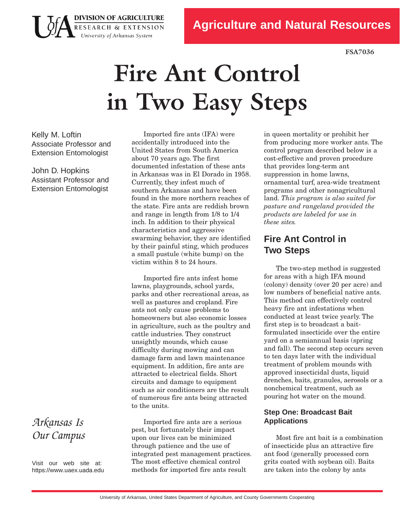**FSA7036**

# **Fire Ant Control in Two Easy Steps**

Kelly M. Loftin Associate Professor and Extension Entomologist

**DIVISION OF AGRICULTURE** RESEARCH & EXTENSION University of Arkansas System

John D. Hopkins Assistant Professor and Extension Entomologist

Imported fire ants (IFA) were accidentally introduced into the United States from South America about 70 years ago. The first documented infestation of these ants in Arkansas was in El Dorado in 1958. Currently, they infest much of southern Arkansas and have been found in the more northern reaches of the state. Fire ants are reddish brown and range in length from 1/8 to 1/4 inch. In addition to their physical characteristics and aggressive swarming behavior, they are identified by their painful sting, which produces a small pustule (white bump) on the victim within 8 to 24 hours.

Imported fire ants infest home lawns, playgrounds, school yards, parks and other recreational areas, as well as pastures and cropland. Fire ants not only cause problems to homeowners but also economic losses in agriculture, such as the poultry and cattle industries. They construct unsightly mounds, which cause difficulty during mowing and can damage farm and lawn maintenance equipment. In addition, fire ants are attracted to electrical fields. Short circuits and damage to equipment such as air conditioners are the result of numerous fire ants being attracted to the units.

Imported fire ants are a serious pest, but fortunately their impact upon our lives can be minimized through patience and the use of integrated pest management practices. The most effective chemical control methods for imported fire ants result

in queen mortality or prohibit her from producing more worker ants. The control program described below is a costeffective and proven procedure that provides long-term ant suppression in home lawns, ornamental turf, area-wide treatment programs and other nonagricultural land. *This program is also suited for pasture and rangeland provided the products are labeled for use in these sites.*

# **Fire Ant Control in Two Steps**

The two-step method is suggested for areas with a high IFA mound (colony) density (over 20 per acre) and low numbers of beneficial native ants. This method can effectively control heavy fire ant infestations when conducted at least twice yearly. The first step is to broadcast a baitformulated insecticide over the entire yard on a semiannual basis (spring and fall). The second step occurs seven to ten days later with the individual treatment of problem mounds with approved insecticidal dusts, liquid drenches, baits, granules, aerosols or a nonchemical treatment, such as pouring hot water on the mound.

## **Step One: Broadcast Bait Applications**

Most fire ant bait is a combination of insecticide plus an attractive fire ant food (generally processed corn grits coated with soybean oil). Baits are taken into the colony by ants

*Arkansas Is Our Campus*

Visit our web site at: https[://www.uaex](https://www.uaex.uada.edu).uada.edu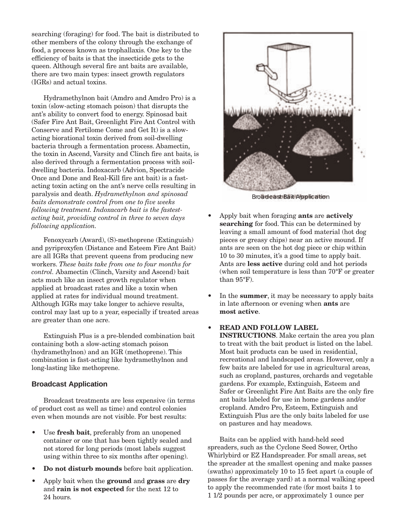searching (foraging) for food. The bait is distributed to other members of the colony through the exchange of food, a process known as trophallaxis. One key to the efficiency of baits is that the insecticide gets to the queen. Although several fire ant baits are available, there are two main types: insect growth regulators (IGRs) and actual toxins.

Hydramethylnon bait (Amdro and Amdro Pro) is a toxin (slow-acting stomach poison) that disrupts the ant's ability to convert food to energy. Spinosad bait (Safer Fire Ant Bait, Greenlight Fire Ant Control with Conserve and Fertilome Come and Get It) is a slowacting biorational toxin derived from soil-dwelling bacteria through a fermentation process. Abamectin, the toxin in Ascend, Varsity and Clinch fire ant baits, is also derived through a fermentation process with soildwelling bacteria. Indoxacarb (Advion, Spectracide Once and Done and Real-Kill fire ant bait) is a fastacting toxin acting on the ant's nerve cells resulting in paralysis and death. *Hydramethylnon and spinosad baits demonstrate control from one to five weeks following treatment. Indoxacarb bait is the fastestacting bait, providing control in three to seven days following application.*

Fenoxycarb (Award), (S)-methoprene (Extinguish) and pyriproxyfen (Distance and Esteem Fire Ant Bait) are all IGRs that prevent queens from producing new workers. *These baits take from one to four months for control.* Abamectin (Clinch, Varsity and Ascend) bait acts much like an insect growth regulator when applied at broadcast rates and like a toxin when applied at rates for individual mound treatment. Although IGRs may take longer to achieve results, control may last up to a year, especially if treated areas are greater than one acre.

Extinguish Plus is a pre-blended combination bait containing both a slow-acting stomach poison (hydramethylnon) and an IGR (methoprene). This combination is fast-acting like hydramethylnon and long-lasting like methoprene.

#### **Broadcast Application**

Broadcast treatments are less expensive (in terms of product cost as well as time) and control colonies even when mounds are not visible. For best results:

- Use **fresh bait**, preferably from an unopened container or one that has been tightly sealed and not stored for long periods (most labels suggest using within three to six months after opening).
- Do not disturb mounds before bait application.
- • Apply bait when the **ground** and **grass** are **dry** and **rain is not expected** for the next 12 to 24 hours.



Broadcast Bait Application

- Apply bait when foraging **ants** are **actively searching** for food. This can be determined by leaving a small amount of food material (hot dog pieces or greasy chips) near an active mound. If ants are seen on the hot dog piece or chip within 10 to 30 minutes, it's a good time to apply bait. Ants are **less active** during cold and hot periods (when soil temperature is less than 70°F or greater than 95°F).
- In the **summer**, it may be necessary to apply baits in late afternoon or evening when **ants** are **most active**.

#### **READ AND FOLLOW LABEL**

**INSTRUCTIONS**. Make certain the area you plan to treat with the bait product is listed on the label. Most bait products can be used in residential, recreational and landscaped areas. However, only a few baits are labeled for use in agricultural areas, such as cropland, pastures, orchards and vegetable gardens. For example, Extinguish, Esteem and Safer or Greenlight Fire Ant Baits are the only fire ant baits labeled for use in home gardens and/or cropland. Amdro Pro, Esteem, Extinguish and Extinguish Plus are the only baits labeled for use on pastures and hay meadows.

Baits can be applied with hand-held seed spreaders, such as the Cyclone Seed Sower, Ortho Whirlybird or EZ Handspreader. For small areas, set the spreader at the smallest opening and make passes (swaths) approximately 10 to 15 feet apart (a couple of passes for the average yard) at a normal walking speed to apply the recommended rate (for most baits 1 to 1 1/2 pounds per acre, or approximately 1 ounce per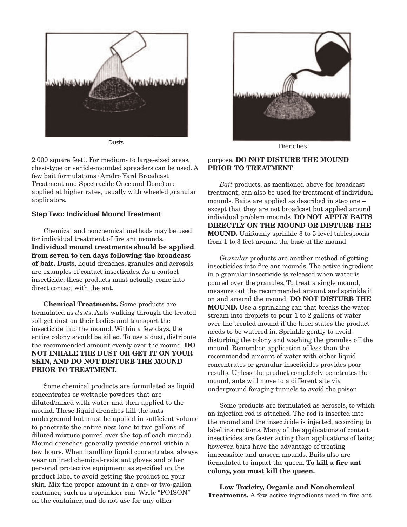

2,000 square feet). For medium- to large-sized areas, chest-type or vehicle-mounted spreaders can be used. A few bait formulations (Amdro Yard Broadcast Treatment and Spectracide Once and Done) are applied at higher rates, usually with wheeled granular applicators.

#### **Step Two: Individual Mound Treatment**

Chemical and nonchemical methods may be used for individual treatment of fire ant mounds. **Individual mound treatments should be applied from seven to ten days followingthe broadcast of bait.** Dusts, liquid drenches, granules and aerosols are examples of contact insecticides. As a contact insecticide, these products must actually come into direct contact with the ant.

**Chemical Treatments.** Some products are formulated as *dusts*. Ants walking through the treated soil get dust on their bodies and transport the insecticide into the mound. Within a few days, the entire colony should be killed. To use a dust, distribute the recommended amount evenly over the mound. **DO NOT INHALE THE DUST OR GET IT ON YOUR SKIN, AND DO NOT DISTURB THE MOUND PRIOR TO TREATMENT.**

Some chemical products are formulated as liquid concentrates or wettable powders that are diluted/mixed with water and then applied to the mound. These liquid drenches kill the ants underground but must be applied in sufficient volume to penetrate the entire nest (one to two gallons of diluted mixture poured over the top of each mound). Mound drenches generally provide control within a few hours. When handling liquid concentrates, always wear unlined chemical-resistant gloves and other personal protective equipment as specified on the product label to avoid getting the product on your skin. Mix the proper amount in a one- or two-gallon container, such as a sprinkler can. Write "POISON" on the container, and do not use for any other



#### purpose. **DO NOT DISTURB THE MOUND PRIOR TO TREATMENT**.

*Bait* products, as mentioned above for broadcast treatment, can also be used for treatment of individual mounds. Baits are applied as described in step one – except that they are not broadcast but applied around individual problem mounds. **DO NOT APPLY BAITS DIRECTLY ON THE MOUND OR DISTURB THE MOUND.** Uniformly sprinkle 3 to 5 level tablespoons from 1 to 3 feet around the base of the mound.

*Granular* products are another method of getting insecticides into fire ant mounds. The active ingredient in a granular insecticide is released when water is poured over the granules. To treat a single mound, measure out the recommended amount and sprinkle it on and around the mound. **DO NOT DISTURB THE MOUND.** Use a sprinkling can that breaks the water stream into droplets to pour 1 to 2 gallons of water over the treated mound if the label states the product needs to be watered in. Sprinkle gently to avoid disturbing the colony and washing the granules off the mound. Remember, application of less than the recommended amount of water with either liquid concentrates or granular insecticides provides poor results. Unless the product completely penetrates the mound, ants will move to a different site via underground foraging tunnels to avoid the poison.

Some products are formulated as aerosols, to which an injection rod is attached. The rod is inserted into the mound and the insecticide is injected, according to label instructions. Many of the applications of contact insecticides are faster acting than applications of baits; however, baits have the advantage of treating inaccessible and unseen mounds. Baits also are formulated to impact the queen. **To kill a fire ant colony, you must kill the queen.**

**Low Toxicity, Organic and Nonchemical Treatments.** A few active ingredients used in fire ant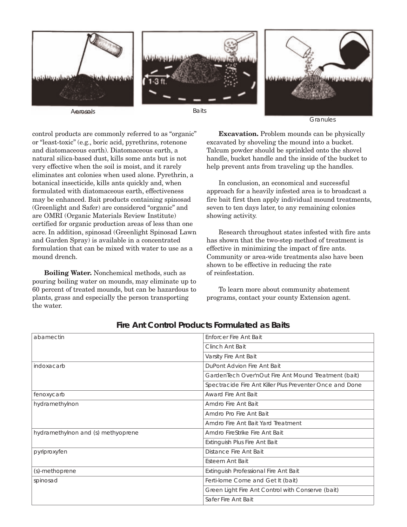

Granules

control products are commonly referred to as "organic" or "least-toxic" (e.g., boric acid, pyrethrins, rotenone and diatomaceous earth). Diatomaceous earth, a natural silica-based dust, kills some ants but is not very effective when the soil is moist, and it rarely eliminates ant colonies when used alone. Pyrethrin, a botanical insecticide, kills ants quickly and, when formulated with diatomaceous earth, effectiveness may be enhanced. Bait products containing spinosad (Greenlight and Safer) are considered "organic" and are OMRI (Organic Materials Review Institute) certified for organic production areas of less than one acre. In addition, spinosad (Greenlight Spinosad Lawn and Garden Spray) is available in a concentrated formulation that can be mixed with water to use as a mound drench.

**BoilingWater.** Nonchemical methods, such as pouring boiling water on mounds, may eliminate up to 60 percent of treated mounds, but can be hazardous to plants, grass and especially the person transporting the water.

**Excavation.** Problem mounds can be physically excavated by shoveling the mound into a bucket. Talcum powder should be sprinkled onto the shovel handle, bucket handle and the inside of the bucket to help prevent ants from traveling up the handles.

In conclusion, an economical and successful approach for a heavily infested area is to broadcast a fire bait first then apply individual mound treatments, seven to ten days later, to any remaining colonies showing activity.

Research throughout states infested with fire ants has shown that the two-step method of treatment is effective in minimizing the impact of fire ants. Community or area-wide treatments also have been shown to be effective in reducing the rate of reinfestation.

To learn more about community abatement programs, contact your county Extension agent.

| abamectin                          | Enforcer Fire Ant Bait                                   |
|------------------------------------|----------------------------------------------------------|
|                                    | Clinch Ant Bait                                          |
|                                    | Varsity Fire Ant Bait                                    |
| indoxacarb                         | DuPont Advion Fire Ant Bait                              |
|                                    | GardenTech Over'nOut Fire Ant Mound Treatment (bait)     |
|                                    | Spectracide Fire Ant Killer Plus Preventer Once and Done |
| fenoxycarb                         | Award Fire Ant Bait                                      |
| hydramethylnon                     | Amdro Fire Ant Bait                                      |
|                                    | Amdro Pro Fire Ant Bait                                  |
|                                    | Amdro Fire Ant Bait Yard Treatment                       |
| hydramethylnon and (s) methyoprene | Amdro FireStrike Fire Ant Bait                           |
|                                    | Extinguish Plus Fire Ant Bait                            |
| pyriproxyfen                       | Distance Fire Ant Bait                                   |
|                                    | Esteem Ant Bait                                          |
| (s)-methoprene                     | Extinguish Professional Fire Ant Bait                    |
| spinosad                           | Ferti-lome Come and Get It (bait)                        |
|                                    | Green Light Fire Ant Control with Conserve (bait)        |
|                                    | Safer Fire Ant Bait                                      |

### **Fire Ant Control Products Formulated as Baits**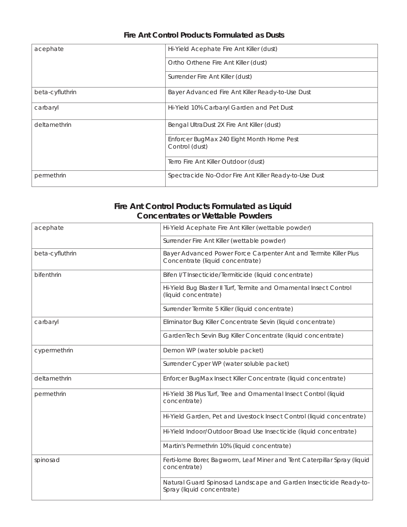| acephate        | Hi-Yield Acephate Fire Ant Killer (dust)                    |
|-----------------|-------------------------------------------------------------|
|                 | Ortho Orthene Fire Ant Killer (dust)                        |
|                 | Surrender Fire Ant Killer (dust)                            |
| beta-cyfluthrin | Bayer Advanced Fire Ant Killer Ready-to-Use Dust            |
| carbaryl        | Hi-Yield 10% Carbaryl Garden and Pet Dust                   |
| deltamethrin    | Bengal UltraDust 2X Fire Ant Killer (dust)                  |
|                 | Enforcer BugMax 240 Eight Month Home Pest<br>Control (dust) |
|                 | Terro Fire Ant Killer Outdoor (dust)                        |
| permethrin      | Spectracide No-Odor Fire Ant Killer Ready-to-Use Dust       |

# **Fire Ant Control Products Formulated as Dusts**

## **Fire Ant Control Products Formulated as Liquid Concentrates or Wettable Powders**

| acephate        | Hi-Yield Acephate Fire Ant Killer (wettable powder)                                                  |
|-----------------|------------------------------------------------------------------------------------------------------|
|                 | Surrender Fire Ant Killer (wettable powder)                                                          |
| beta-cyfluthrin | Bayer Advanced Power Force Carpenter Ant and Termite Killer Plus<br>Concentrate (liquid concentrate) |
| bifenthrin      | Bifen I/T Insecticide/Termiticide (liquid concentrate)                                               |
|                 | Hi-Yield Bug Blaster II Turf, Termite and Ornamental Insect Control<br>(liquid concentrate)          |
|                 | Surrender Termite 5 Killer (liquid concentrate)                                                      |
| carbaryl        | Eliminator Bug Killer Concentrate Sevin (liquid concentrate)                                         |
|                 | GardenTech Sevin Bug Killer Concentrate (liquid concentrate)                                         |
| cypermethrin    | Demon WP (water soluble packet)                                                                      |
|                 | Surrender Cyper WP (water soluble packet)                                                            |
| deltamethrin    | Enforcer BugMax Insect Killer Concentrate (liquid concentrate)                                       |
| permethrin      | Hi-Yield 38 Plus Turf, Tree and Ornamental Insect Control (liquid<br>concentrate)                    |
|                 | Hi-Yield Garden, Pet and Livestock Insect Control (liquid concentrate)                               |
|                 | Hi-Yield Indoor/Outdoor Broad Use Insecticide (liquid concentrate)                                   |
|                 | Martin's Permethrin 10% (liquid concentrate)                                                         |
| spinosad        | Ferti-lome Borer, Bagworm, Leaf Miner and Tent Caterpillar Spray (liquid<br>concentrate)             |
|                 | Natural Guard Spinosad Landscape and Garden Insecticide Ready-to-<br>Spray (liquid concentrate)      |